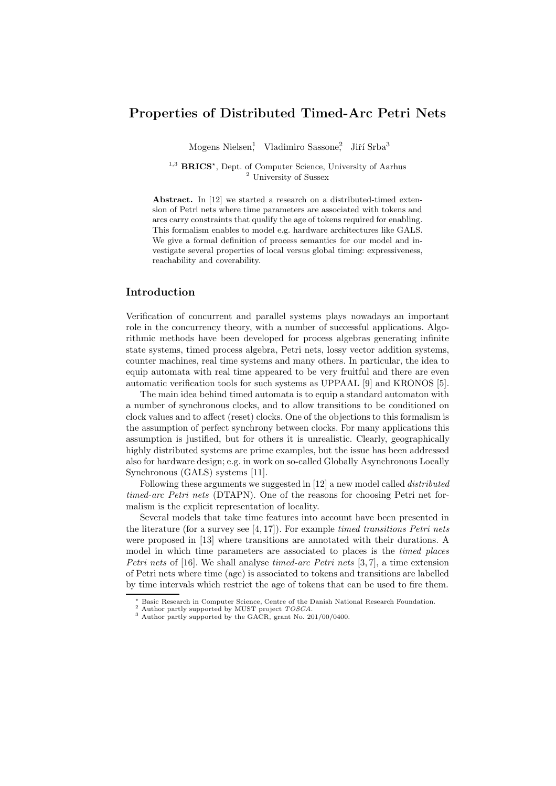# **Properties of Distributed Timed-Arc Petri Nets**

Mogens Nielsen<sup>1</sup>, Vladimiro Sassone<sup>2</sup>, Jiří Srba<sup>3</sup>

<sup>1,3</sup> **BRICS**<sup>\*</sup>, Dept. of Computer Science, University of Aarhus  $\frac{2}{3}$  University of Sussex

**Abstract.** In [12] we started a research on a distributed-timed extension of Petri nets where time parameters are associated with tokens and arcs carry constraints that qualify the age of tokens required for enabling. This formalism enables to model e.g. hardware architectures like GALS. We give a formal definition of process semantics for our model and investigate several properties of local versus global timing: expressiveness, reachability and coverability.

## **Introduction**

Verification of concurrent and parallel systems plays nowadays an important role in the concurrency theory, with a number of successful applications. Algorithmic methods have been developed for process algebras generating infinite state systems, timed process algebra, Petri nets, lossy vector addition systems, counter machines, real time systems and many others. In particular, the idea to equip automata with real time appeared to be very fruitful and there are even automatic verification tools for such systems as UPPAAL [9] and KRONOS [5].

The main idea behind timed automata is to equip a standard automaton with a number of synchronous clocks, and to allow transitions to be conditioned on clock values and to affect (reset) clocks. One of the objections to this formalism is the assumption of perfect synchrony between clocks. For many applications this assumption is justified, but for others it is unrealistic. Clearly, geographically highly distributed systems are prime examples, but the issue has been addressed also for hardware design; e.g. in work on so-called Globally Asynchronous Locally Synchronous (GALS) systems [11].

Following these arguments we suggested in [12] a new model called *distributed timed-arc Petri nets* (DTAPN). One of the reasons for choosing Petri net formalism is the explicit representation of locality.

Several models that take time features into account have been presented in the literature (for a survey see [4, 17]). For example *timed transitions Petri nets* were proposed in [13] where transitions are annotated with their durations. A model in which time parameters are associated to places is the *timed places Petri nets* of [16]. We shall analyse *timed-arc Petri nets* [3, 7], a time extension of Petri nets where time (age) is associated to tokens and transitions are labelled by time intervals which restrict the age of tokens that can be used to fire them.

 $^\star$ Basic Research in Computer Science, Centre of the Danish National Research Foundation. $^2$  Author partly supported by the GACR, grant No. 201/00/0400.  $^3$  Author partly supported by the GACR, grant No. 201/00/0400.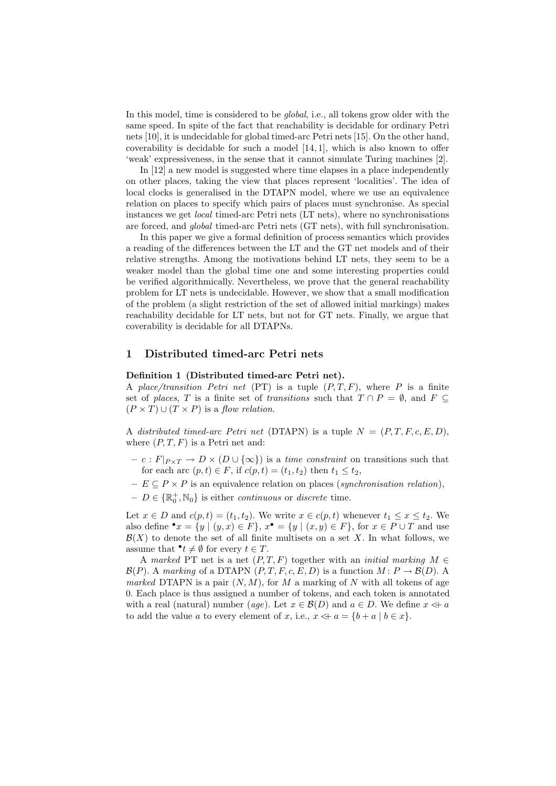In this model, time is considered to be *global*, i.e., all tokens grow older with the same speed. In spite of the fact that reachability is decidable for ordinary Petri nets [10], it is undecidable for global timed-arc Petri nets [15]. On the other hand, coverability is decidable for such a model [14, 1], which is also known to offer 'weak' expressiveness, in the sense that it cannot simulate Turing machines [2].

In [12] a new model is suggested where time elapses in a place independently on other places, taking the view that places represent 'localities'. The idea of local clocks is generalised in the DTAPN model, where we use an equivalence relation on places to specify which pairs of places must synchronise. As special instances we get *local* timed-arc Petri nets (LT nets), where no synchronisations are forced, and *global* timed-arc Petri nets (GT nets), with full synchronisation.

In this paper we give a formal definition of process semantics which provides a reading of the differences between the LT and the GT net models and of their relative strengths. Among the motivations behind LT nets, they seem to be a weaker model than the global time one and some interesting properties could be verified algorithmically. Nevertheless, we prove that the general reachability problem for LT nets is undecidable. However, we show that a small modification of the problem (a slight restriction of the set of allowed initial markings) makes reachability decidable for LT nets, but not for GT nets. Finally, we argue that coverability is decidable for all DTAPNs.

## **1 Distributed timed-arc Petri nets**

#### **Definition 1 (Distributed timed-arc Petri net).**

A *place/transition Petri net* (PT) is a tuple  $(P, T, F)$ , where P is a finite set of *places*, T is a finite set of *transitions* such that  $T \cap P = \emptyset$ , and  $F \subseteq$  $(P \times T) \cup (T \times P)$  is a *flow relation*.

A *distributed timed-arc Petri net* (DTAPN) is a tuple  $N = (P, T, F, c, E, D)$ , where  $(P, T, F)$  is a Petri net and:

- $c : F|_{P \times T} \to D \times (D \cup {\infty})$  is a *time constraint* on transitions such that for each arc  $(p, t) \in F$ , if  $c(p, t) = (t_1, t_2)$  then  $t_1 \leq t_2$ ,
- **–** E ⊆ P × P is an equivalence relation on places (*synchronisation relation*),
- $-D \in {\mathbb{R}}_0^+, N_0$  is either *continuous* or *discrete* time.

Let  $x \in D$  and  $c(p, t) = (t_1, t_2)$ . We write  $x \in c(p, t)$  whenever  $t_1 \leq x \leq t_2$ . We also define  $\bullet x = \{y \mid (y, x) \in F\}, x\bullet = \{y \mid (x, y) \in F\},\$ for  $x \in P \cup T$  and use  $\mathcal{B}(X)$  to denote the set of all finite multisets on a set X. In what follows, we assume that  $\mathbf{t} \neq \emptyset$  for every  $t \in T$ .

A *marked* PT net is a net  $(P, T, F)$  together with an *initial marking*  $M \in$  $\mathcal{B}(P)$ . A *marking* of a DTAPN  $(P, T, F, c, E, D)$  is a function  $M : P \to \mathcal{B}(D)$ . A *marked* DTAPN is a pair  $(N, M)$ , for M a marking of N with all tokens of age 0. Each place is thus assigned a number of tokens, and each token is annotated with a real (natural) number (*age*). Let  $x \in \mathcal{B}(D)$  and  $a \in D$ . We define  $x \Leftrightarrow a$ to add the value a to every element of x, i.e.,  $x \le a = \{b + a \mid b \in x\}.$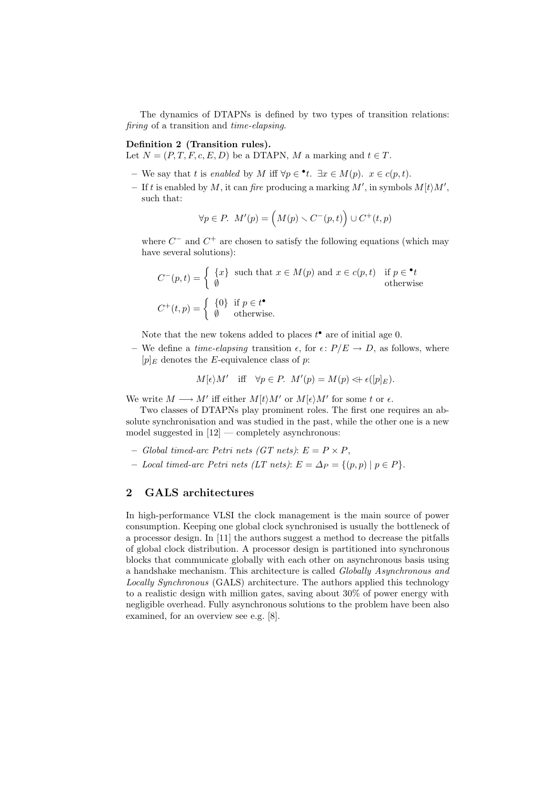The dynamics of DTAPNs is defined by two types of transition relations: *firing* of a transition and *time-elapsing*.

## **Definition 2 (Transition rules).**

Let  $N = (P, T, F, c, E, D)$  be a DTAPN, M a marking and  $t \in T$ .

- $-$  We say that t is *enabled* by M iff  $\forall p \in \text{•} t$ . ∃x ∈ M(p).  $x \in c(p, t)$ .
- $-$  If t is enabled by M, it can *fire* producing a marking M', in symbols  $M[t \rangle M'$ , such that:

$$
\forall p \in P. \ M'(p) = \left( M(p) \smallsetminus C^-(p, t) \right) \cup C^+(t, p)
$$

where  $C^-$  and  $C^+$  are chosen to satisfy the following equations (which may have several solutions):

$$
C^{-}(p,t) = \begin{cases} \{x\} & \text{such that } x \in M(p) \text{ and } x \in c(p,t) & \text{if } p \in \text{•}t \\ \emptyset & \text{otherwise} \end{cases}
$$
  

$$
C^{+}(t,p) = \begin{cases} \{0\} & \text{if } p \in t^{\bullet} \\ \emptyset & \text{otherwise.} \end{cases}
$$

Note that the new tokens added to places  $t^{\bullet}$  are of initial age 0.

– We define a *time-elapsing* transition  $\epsilon$ , for  $\epsilon$ :  $P/E \rightarrow D$ , as follows, where  $[p]_E$  denotes the E-equivalence class of p:

$$
M[\epsilon)M'
$$
 iff  $\forall p \in P$ .  $M'(p) = M(p) \Leftrightarrow \epsilon([p]_E)$ .

We write  $M \longrightarrow M'$  iff either  $M[t\rangle M'$  or  $M[\epsilon\rangle M'$  for some t or  $\epsilon$ .

Two classes of DTAPNs play prominent roles. The first one requires an absolute synchronisation and was studied in the past, while the other one is a new model suggested in  $[12]$  — completely asynchronous:

- $-$  *Global timed-arc Petri nets (GT nets)*:  $E = P \times P$ ,
- $Local timed-arc Petri nets (LT nets): E = ∆P = {(p,p) | p ∈ P}.$

## **2 GALS architectures**

In high-performance VLSI the clock management is the main source of power consumption. Keeping one global clock synchronised is usually the bottleneck of a processor design. In [11] the authors suggest a method to decrease the pitfalls of global clock distribution. A processor design is partitioned into synchronous blocks that communicate globally with each other on asynchronous basis using a handshake mechanism. This architecture is called *Globally Asynchronous and Locally Synchronous* (GALS) architecture. The authors applied this technology to a realistic design with million gates, saving about 30% of power energy with negligible overhead. Fully asynchronous solutions to the problem have been also examined, for an overview see e.g. [8].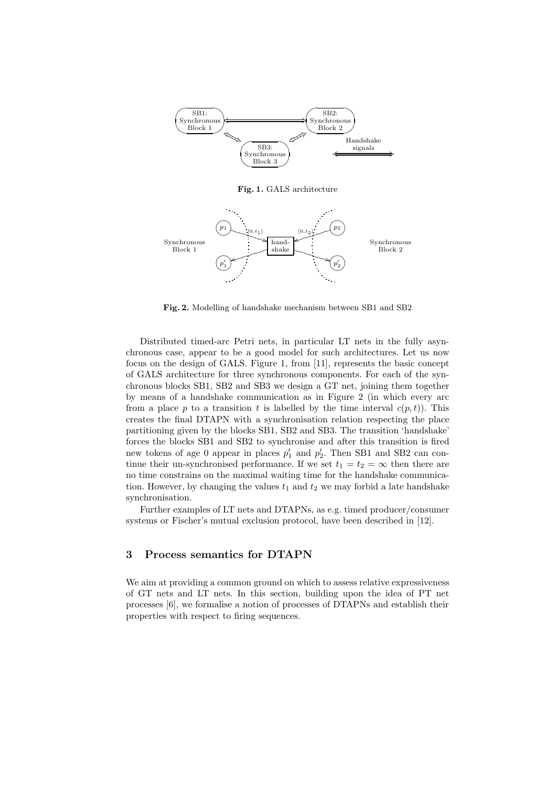

**Fig. 1.** GALS architecture



**Fig. 2.** Modelling of handshake mechanism between SB1 and SB2

Distributed timed-arc Petri nets, in particular LT nets in the fully asynchronous case, appear to be a good model for such architectures. Let us now focus on the design of GALS. Figure 1, from [11], represents the basic concept of GALS architecture for three synchronous components. For each of the synchronous blocks SB1, SB2 and SB3 we design a GT net, joining them together by means of a handshake communication as in Figure 2 (in which every arc from a place p to a transition t is labelled by the time interval  $c(p, t)$ . This creates the final DTAPN with a synchronisation relation respecting the place partitioning given by the blocks SB1, SB2 and SB3. The transition 'handshake' forces the blocks SB1 and SB2 to synchronise and after this transition is fired new tokens of age 0 appear in places  $p'_1$  and  $p'_2$ . Then SB1 and SB2 can continue their un-synchronised performance. If we set  $t_1 = t_2 = \infty$  then there are no time constrains on the maximal waiting time for the handshake communication. However, by changing the values  $t_1$  and  $t_2$  we may forbid a late handshake synchronisation.

Further examples of LT nets and DTAPNs, as e.g. timed producer/consumer systems or Fischer's mutual exclusion protocol, have been described in [12].

## **3 Process semantics for DTAPN**

We aim at providing a common ground on which to assess relative expressiveness of GT nets and LT nets. In this section, building upon the idea of PT net processes [6], we formalise a notion of processes of DTAPNs and establish their properties with respect to firing sequences.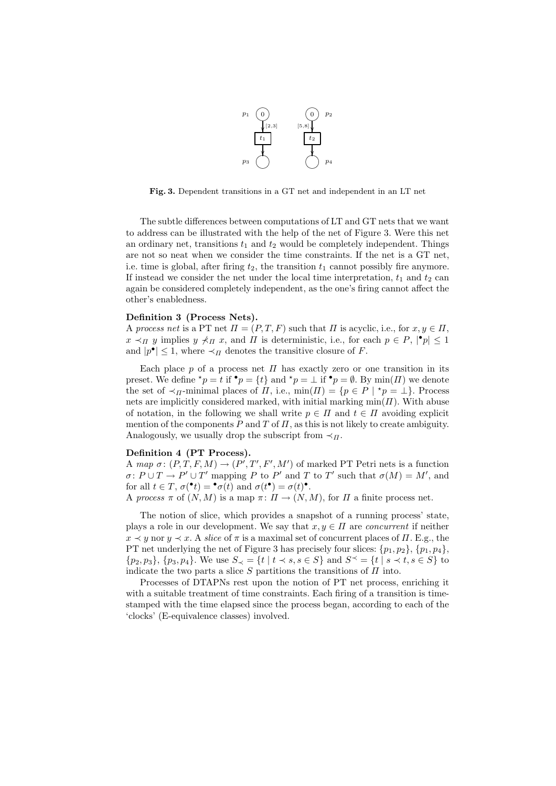

**Fig. 3.** Dependent transitions in a GT net and independent in an LT net

The subtle differences between computations of LT and GT nets that we want to address can be illustrated with the help of the net of Figure 3. Were this net an ordinary net, transitions  $t_1$  and  $t_2$  would be completely independent. Things are not so neat when we consider the time constraints. If the net is a GT net, i.e. time is global, after firing  $t_2$ , the transition  $t_1$  cannot possibly fire anymore. If instead we consider the net under the local time interpretation,  $t_1$  and  $t_2$  can again be considered completely independent, as the one's firing cannot affect the other's enabledness.

#### **Definition 3 (Process Nets).**

A *process net* is a PT net  $\Pi = (P, T, F)$  such that  $\Pi$  is acyclic, i.e., for  $x, y \in \Pi$ ,  $x \prec_{\Pi} y$  implies  $y \not\prec_{\Pi} x$ , and  $\Pi$  is deterministic, i.e., for each  $p \in P$ ,  $|\cdot p| \leq 1$ and  $|p^{\bullet}| \leq 1$ , where  $\prec_{\Pi}$  denotes the transitive closure of F.

Each place p of a process net  $\Pi$  has exactly zero or one transition in its preset. We define  ${}^{\star}p = t$  if  ${}^{\bullet}p = \{t\}$  and  ${}^{\star}p = \bot$  if  ${}^{\bullet}p = \emptyset$ . By min(*II*) we denote the set of  $\prec_{\Pi}$ -minimal places of  $\Pi$ , i.e., min $(\Pi) = \{p \in P \mid {}^{\star}p = \bot\}.$  Process nets are implicitly considered marked, with initial marking  $min(\Pi)$ . With abuse of notation, in the following we shall write  $p \in \Pi$  and  $t \in \Pi$  avoiding explicit mention of the components P and T of  $\Pi$ , as this is not likely to create ambiguity. Analogously, we usually drop the subscript from  $\prec_{\Pi}$ .

## **Definition 4 (PT Process).**

A *map*  $\sigma: (P, T, F, M) \to (P', T', F', M')$  of marked PT Petri nets is a function  $\sigma\colon P\cup T\to P'\cup T'$  mapping P to P' and T to T' such that  $\sigma(M)=M'$ , and for all  $t \in T$ ,  $\sigma(\bullet t) = \bullet \sigma(t)$  and  $\sigma(t^{\bullet}) = \sigma(t)^{\bullet}$ .

A *process*  $\pi$  of  $(N, M)$  is a map  $\pi: \Pi \to (N, M)$ , for  $\Pi$  a finite process net.

The notion of slice, which provides a snapshot of a running process' state, plays a role in our development. We say that  $x, y \in \Pi$  are *concurrent* if neither  $x \prec y$  nor  $y \prec x$ . A *slice* of  $\pi$  is a maximal set of concurrent places of  $\Pi$ . E.g., the PT net underlying the net of Figure 3 has precisely four slices:  $\{p_1, p_2\}, \{p_1, p_4\},\$  $\{p_2, p_3\}, \{p_3, p_4\}.$  We use  $S_{\prec} = \{t \mid t \prec s, s \in S\}$  and  $S^{\prec} = \{t \mid s \prec t, s \in S\}$  to indicate the two parts a slice  $S$  partitions the transitions of  $\Pi$  into.

Processes of DTAPNs rest upon the notion of PT net process, enriching it with a suitable treatment of time constraints. Each firing of a transition is timestamped with the time elapsed since the process began, according to each of the 'clocks' (E-equivalence classes) involved.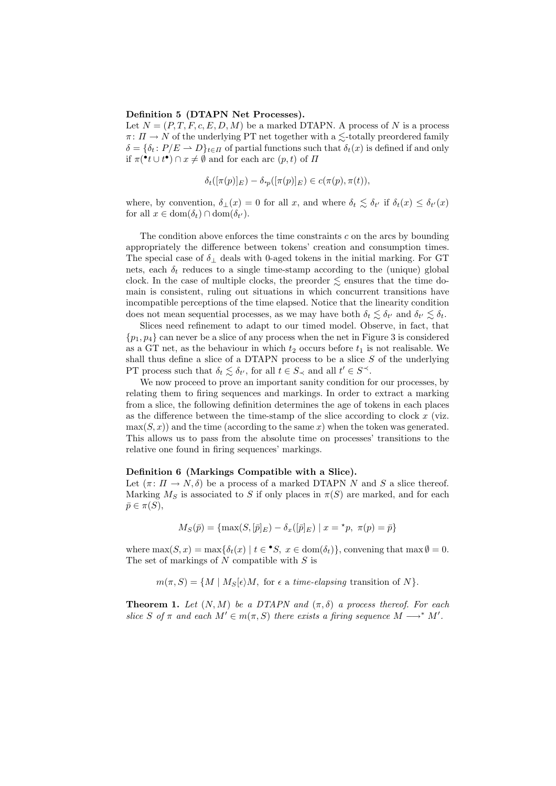#### **Definition 5 (DTAPN Net Processes).**

Let  $N = (P, T, F, c, E, D, M)$  be a marked DTAPN. A process of N is a process  $\pi: \Pi \to N$  of the underlying PT net together with a  $\leq$ -totally preordered family  $\delta = {\delta_t : P/E \to D}_{t \in \Pi}$  of partial functions such that  $\delta_t(x)$  is defined if and only if  $\pi(\bullet t \cup t^{\bullet}) \cap x \neq \emptyset$  and for each arc  $(p, t)$  of  $\Pi$ 

$$
\delta_t([\pi(p)]_E) - \delta_{\gamma(p)}([\pi(p)]_E) \in c(\pi(p), \pi(t)),
$$

where, by convention,  $\delta_{\perp}(x) = 0$  for all x, and where  $\delta_t \leq \delta_{t'}$  if  $\delta_t(x) \leq \delta_{t'}(x)$ for all  $x \in \text{dom}(\delta_t) \cap \text{dom}(\delta_{t}).$ 

The condition above enforces the time constraints  $c$  on the arcs by bounding appropriately the difference between tokens' creation and consumption times. The special case of  $\delta_{\perp}$  deals with 0-aged tokens in the initial marking. For GT nets, each  $\delta_t$  reduces to a single time-stamp according to the (unique) global clock. In the case of multiple clocks, the preorder  $\leq$  ensures that the time domain is consistent, ruling out situations in which concurrent transitions have incompatible perceptions of the time elapsed. Notice that the linearity condition does not mean sequential processes, as we may have both  $\delta_t \lesssim \delta_{t'}$  and  $\delta_{t'} \lesssim \delta_t$ .

Slices need refinement to adapt to our timed model. Observe, in fact, that  $\{p_1, p_4\}$  can never be a slice of any process when the net in Figure 3 is considered as a GT net, as the behaviour in which  $t_2$  occurs before  $t_1$  is not realisable. We shall thus define a slice of a DTAPN process to be a slice  $S$  of the underlying PT process such that  $\delta_t \lesssim \delta_{t'}$ , for all  $t \in S_{\prec}$  and all  $t' \in S^{\prec}$ .

We now proceed to prove an important sanity condition for our processes, by relating them to firing sequences and markings. In order to extract a marking from a slice, the following definition determines the age of tokens in each places as the difference between the time-stamp of the slice according to clock  $x$  (viz.  $\max(S, x)$  and the time (according to the same x) when the token was generated. This allows us to pass from the absolute time on processes' transitions to the relative one found in firing sequences' markings.

#### **Definition 6 (Markings Compatible with a Slice).**

Let  $(\pi: \Pi \to N, \delta)$  be a process of a marked DTAPN N and S a slice thereof. Marking  $M_S$  is associated to S if only places in  $\pi(S)$  are marked, and for each  $\bar{p} \in \pi(S),$ 

$$
M_S(\bar{p}) = \{ \max(S, [\bar{p}]_E) - \delta_x([\bar{p}]_E) \mid x = \star p, \ \pi(p) = \bar{p} \}
$$

where  $\max(S, x) = \max\{\delta_t(x) | t \in \bullet S, x \in \text{dom}(\delta_t)\}\)$ , convening that  $\max \emptyset = 0$ . The set of markings of  $N$  compatible with  $S$  is

 $m(\pi, S) = \{M \mid M_S[\epsilon)M, \text{ for } \epsilon \text{ a } time\text{-}elapsing transition of } N\}.$ 

**Theorem 1.** *Let*  $(N, M)$  *be a DTAPN and*  $(\pi, \delta)$  *a process thereof. For each slice* S of  $\pi$  and each  $M' \in m(\pi, S)$  there exists a firing sequence  $M \longrightarrow^* M'.$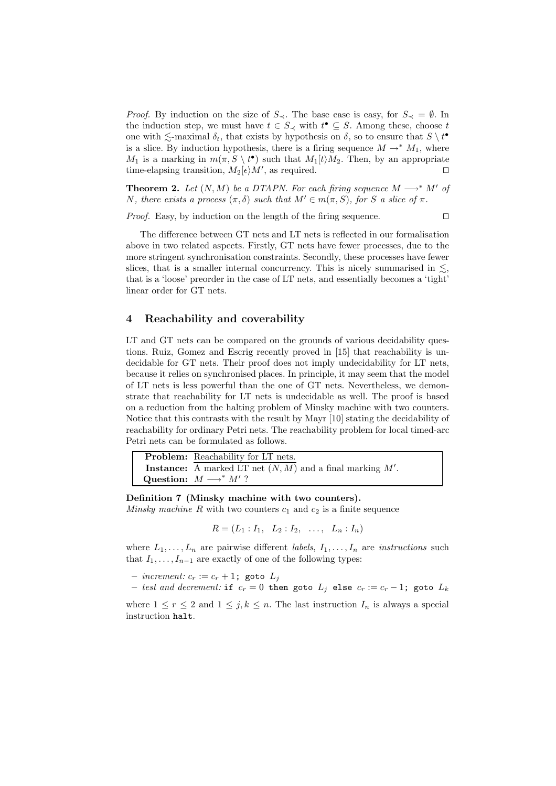*Proof.* By induction on the size of  $S_{\prec}$ . The base case is easy, for  $S_{\prec} = \emptyset$ . In the induction step, we must have  $t \in S_{\prec}$  with  $t^{\bullet} \subseteq S$ . Among these, choose  $t$ one with  $\lesssim$ -maximal  $\delta_t$ , that exists by hypothesis on  $\delta$ , so to ensure that  $S \setminus t^{\bullet}$ is a slice. By induction hypothesis, there is a firing sequence  $M \to^* M_1$ , where  $M_1$  is a marking in  $m(\pi, S \setminus t^{\bullet})$  such that  $M_1(t)M_2$ . Then, by an appropriate time-elapsing transition,  $M_2\epsilon/M'$ , as required.

**Theorem 2.** *Let*  $(N, M)$  *be a DTAPN. For each firing sequence*  $M \longrightarrow^* M'$  *of* N, there exists a process  $(\pi, \delta)$  such that  $M' \in m(\pi, S)$ , for S a slice of  $\pi$ .

*Proof.* Easy, by induction on the length of the firing sequence.  $\Box$ 

The difference between GT nets and LT nets is reflected in our formalisation above in two related aspects. Firstly, GT nets have fewer processes, due to the more stringent synchronisation constraints. Secondly, these processes have fewer slices, that is a smaller internal concurrency. This is nicely summarised in  $\lesssim$ , that is a 'loose' preorder in the case of LT nets, and essentially becomes a 'tight' linear order for GT nets.

## **4 Reachability and coverability**

LT and GT nets can be compared on the grounds of various decidability questions. Ruiz, Gomez and Escrig recently proved in [15] that reachability is undecidable for GT nets. Their proof does not imply undecidability for LT nets, because it relies on synchronised places. In principle, it may seem that the model of LT nets is less powerful than the one of GT nets. Nevertheless, we demonstrate that reachability for LT nets is undecidable as well. The proof is based on a reduction from the halting problem of Minsky machine with two counters. Notice that this contrasts with the result by Mayr [10] stating the decidability of reachability for ordinary Petri nets. The reachability problem for local timed-arc Petri nets can be formulated as follows.

| <b>Problem:</b> Reachability for LT nets.                            |
|----------------------------------------------------------------------|
| <b>Instance:</b> A marked LT net $(N, M)$ and a final marking $M'$ . |
| Question: $M \longrightarrow^* M'$ ?                                 |

**Definition 7 (Minsky machine with two counters).** *Minsky machine*  $R$  with two counters  $c_1$  and  $c_2$  is a finite sequence

 $R = (L_1 : I_1, L_2 : I_2, \ldots, L_n : I_n)$ 

where  $L_1, \ldots, L_n$  are pairwise different *labels*,  $I_1, \ldots, I_n$  are *instructions* such that  $I_1, \ldots, I_{n-1}$  are exactly of one of the following types:

- $*increment*:  $c_r := c_r + 1$ ; goto  $L_j$$
- *test and decrement:* if  $c_r = 0$  then goto  $L_j$  else  $c_r := c_r 1$ ; goto  $L_k$

where  $1 \leq r \leq 2$  and  $1 \leq j, k \leq n$ . The last instruction  $I_n$  is always a special instruction halt.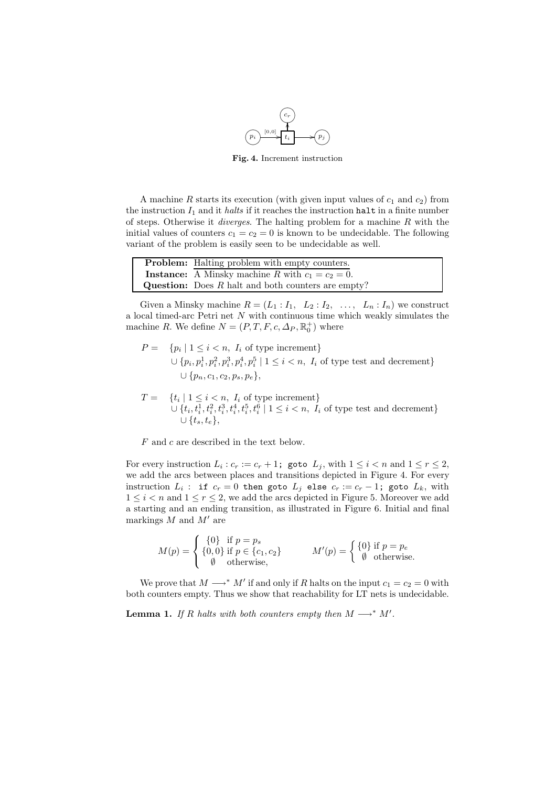

**Fig. 4.** Increment instruction

A machine R starts its execution (with given input values of  $c_1$  and  $c_2$ ) from the instruction  $I_1$  and it *halts* if it reaches the instruction halt in a finite number of steps. Otherwise it *diverges*. The halting problem for a machine R with the initial values of counters  $c_1 = c_2 = 0$  is known to be undecidable. The following variant of the problem is easily seen to be undecidable as well.

| <b>Problem:</b> Halting problem with empty counters.        |
|-------------------------------------------------------------|
| <b>Instance:</b> A Minsky machine R with $c_1 = c_2 = 0$ .  |
| <b>Question:</b> Does $R$ halt and both counters are empty? |

Given a Minsky machine  $R = (L_1 : I_1, L_2 : I_2, \ldots, L_n : I_n)$  we construct a local timed-arc Petri net N with continuous time which weakly simulates the machine R. We define  $N = (P, T, F, c, \Delta_P, \mathbb{R}_0^+)$  where

$$
P = \{ p_i \mid 1 \leq i < n, I_i \text{ of type increment} \}
$$
\n
$$
\cup \{ p_i, p_i^1, p_i^2, p_i^3, p_i^4, p_i^5 \mid 1 \leq i < n, I_i \text{ of type test and decrement} \}
$$
\n
$$
\cup \{ p_n, c_1, c_2, p_s, p_e \},
$$

 $T = \{t_i \mid 1 \leq i < n, I_i \text{ of type increment}\}\$  $\cup \{t_i, t_i^1, t_i^2, t_i^3, t_i^4, t_i^5, t_i^6 \mid 1 \leq i < n, I_i \text{ of type test and decrement}\}$  $\cup$   $\{t_s, t_e\},$ 

F and c are described in the text below.

For every instruction  $L_i : c_r := c_r + 1$ ; goto  $L_j$ , with  $1 \leq i < n$  and  $1 \leq r \leq 2$ , we add the arcs between places and transitions depicted in Figure 4. For every instruction  $L_i$ : if  $c_r = 0$  then goto  $L_j$  else  $c_r := c_r - 1$ ; goto  $L_k$ , with  $1 \leq i < n$  and  $1 \leq r \leq 2$ , we add the arcs depicted in Figure 5. Moreover we add a starting and an ending transition, as illustrated in Figure 6. Initial and final markings  $M$  and  $M'$  are

$$
M(p) = \begin{cases} \{0\} & \text{if } p = p_s \\ \{0,0\} & \text{if } p \in \{c_1, c_2\} \\ \emptyset & \text{otherwise,} \end{cases} \qquad M'(p) = \begin{cases} \{0\} & \text{if } p = p_e \\ \emptyset & \text{otherwise.} \end{cases}
$$

We prove that  $M \longrightarrow^* M'$  if and only if R halts on the input  $c_1 = c_2 = 0$  with both counters empty. Thus we show that reachability for LT nets is undecidable.

**Lemma 1.** *If* R halts with both counters empty then  $M \longrightarrow^* M'$ .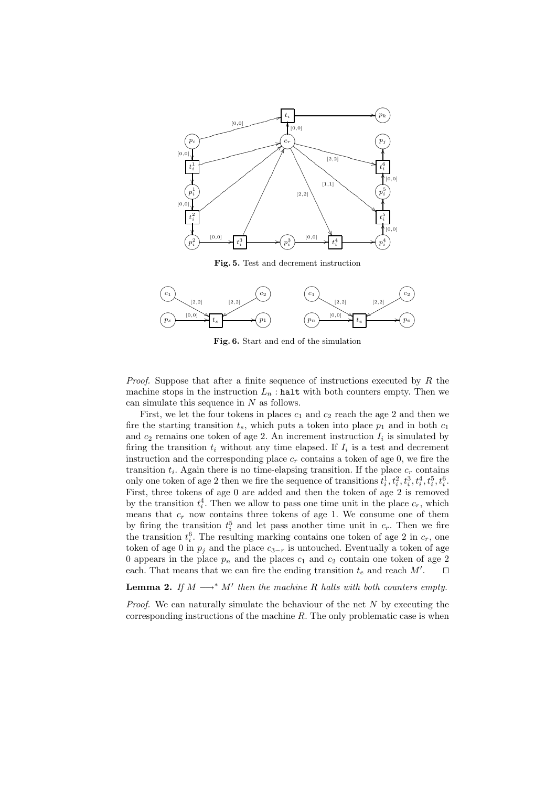

**Fig. 5.** Test and decrement instruction



**Fig. 6.** Start and end of the simulation

*Proof.* Suppose that after a finite sequence of instructions executed by R the machine stops in the instruction  $L_n$ : halt with both counters empty. Then we can simulate this sequence in  $N$  as follows.

First, we let the four tokens in places  $c_1$  and  $c_2$  reach the age 2 and then we fire the starting transition  $t_s$ , which puts a token into place  $p_1$  and in both  $c_1$ and  $c_2$  remains one token of age 2. An increment instruction  $I_i$  is simulated by firing the transition  $t_i$  without any time elapsed. If  $I_i$  is a test and decrement instruction and the corresponding place  $c_r$  contains a token of age 0, we fire the transition  $t_i$ . Again there is no time-elapsing transition. If the place  $c_r$  contains only one token of age 2 then we fire the sequence of transitions  $t_i^1, t_i^2, t_i^3, t_i^4, t_i^5, t_i^6$ . First, three tokens of age 0 are added and then the token of age 2 is removed by the transition  $t_i^4$ . Then we allow to pass one time unit in the place  $c_r$ , which means that  $c_r$  now contains three tokens of age 1. We consume one of them by firing the transition  $t_i^5$  and let pass another time unit in  $c_r$ . Then we fire the transition  $t_i^6$ . The resulting marking contains one token of age 2 in  $c_r$ , one token of age 0 in  $p_i$  and the place  $c_{3-r}$  is untouched. Eventually a token of age 0 appears in the place  $p_n$  and the places  $c_1$  and  $c_2$  contain one token of age 2 each. That means that we can fire the ending transition  $t_e$  and reach  $M'$ .  $\Box$ 

**Lemma 2.** *If*  $M \rightarrow^* M'$  *then the machine* R *halts with both counters empty.* 

*Proof.* We can naturally simulate the behaviour of the net N by executing the corresponding instructions of the machine  $R$ . The only problematic case is when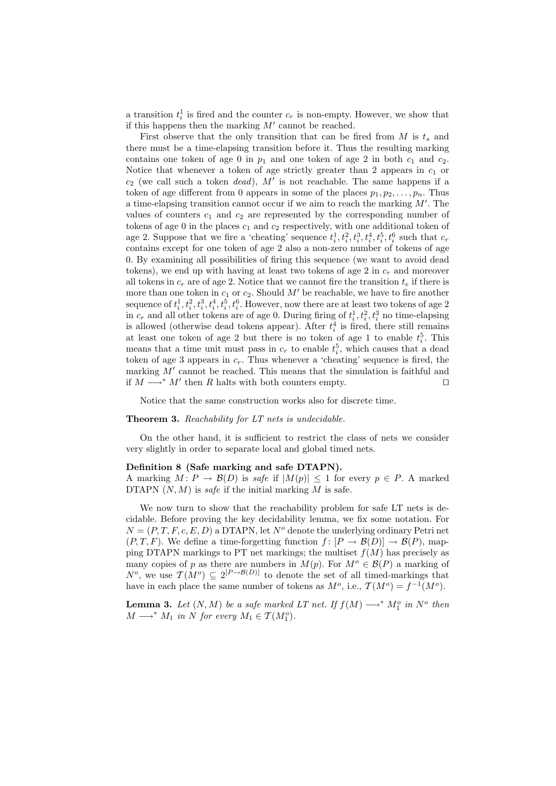a transition  $t_i^1$  is fired and the counter  $c_r$  is non-empty. However, we show that if this happens then the marking  $M'$  cannot be reached.

First observe that the only transition that can be fired from  $M$  is  $t_s$  and there must be a time-elapsing transition before it. Thus the resulting marking contains one token of age 0 in  $p_1$  and one token of age 2 in both  $c_1$  and  $c_2$ . Notice that whenever a token of age strictly greater than 2 appears in  $c_1$  or  $c_2$  (we call such a token *dead*), M' is not reachable. The same happens if a token of age different from 0 appears in some of the places  $p_1, p_2, \ldots, p_n$ . Thus a time-elapsing transition cannot occur if we aim to reach the marking  $M'$ . The values of counters  $c_1$  and  $c_2$  are represented by the corresponding number of tokens of age 0 in the places  $c_1$  and  $c_2$  respectively, with one additional token of age 2. Suppose that we fire a 'cheating' sequence  $t_i^1, t_i^2, t_i^3, t_i^4, t_i^5, t_i^6$  such that  $c_r$ contains except for one token of age 2 also a non-zero number of tokens of age 0. By examining all possibilities of firing this sequence (we want to avoid dead tokens), we end up with having at least two tokens of age 2 in  $c_r$  and moreover all tokens in  $c_r$  are of age 2. Notice that we cannot fire the transition  $t_e$  if there is more than one token in  $c_1$  or  $c_2$ . Should M' be reachable, we have to fire another sequence of  $t_i^1, t_i^2, t_i^3, t_i^4, t_i^5, t_i^6$ . However, now there are at least two tokens of age 2 in  $c_r$  and all other tokens are of age 0. During firing of  $t_i^1, t_i^2, t_i^3$  no time-elapsing is allowed (otherwise dead tokens appear). After  $t_i^4$  is fired, there still remains at least one token of age 2 but there is no token of age 1 to enable  $t_i^5$ . This means that a time unit must pass in  $c_r$  to enable  $t_i^5$ , which causes that a dead token of age 3 appears in  $c_r$ . Thus whenever a 'cheating' sequence is fired, the marking  $M'$  cannot be reached. This means that the simulation is faithful and if  $M \longrightarrow^* M'$  then R halts with both counters empty.  $□$ 

Notice that the same construction works also for discrete time.

#### **Theorem 3.** *Reachability for LT nets is undecidable.*

On the other hand, it is sufficient to restrict the class of nets we consider very slightly in order to separate local and global timed nets.

#### **Definition 8 (Safe marking and safe DTAPN).**

A marking  $M: P \to \mathcal{B}(D)$  is *safe* if  $|M(p)| \leq 1$  for every  $p \in P$ . A marked DTAPN  $(N, M)$  is *safe* if the initial marking M is safe.

We now turn to show that the reachability problem for safe LT nets is decidable. Before proving the key decidability lemma, we fix some notation. For  $N = (P, T, F, c, E, D)$  a DTAPN, let  $N<sup>o</sup>$  denote the underlying ordinary Petri net  $(P, T, F)$ . We define a time-forgetting function  $f : [P \to \mathcal{B}(D)] \to \mathcal{B}(P)$ , mapping DTAPN markings to PT net markings; the multiset  $f(M)$  has precisely as many copies of p as there are numbers in  $M(p)$ . For  $M^o \in \mathcal{B}(P)$  a marking of  $N^o$ , we use  $\mathcal{T}(M^o) \subseteq 2^{[P \to \mathcal{B}(D)]}$  to denote the set of all timed-markings that have in each place the same number of tokens as  $M^o$ , i.e.,  $\mathcal{T}(M^o) = f^{-1}(M^o)$ .

**Lemma 3.** Let  $(N, M)$  be a safe marked LT net. If  $f(M) \longrightarrow^* M_1^o$  in  $N^o$  then  $M \longrightarrow^* M_1$  *in* N for every  $M_1 \in \mathcal{T}(M_1^o)$ *.*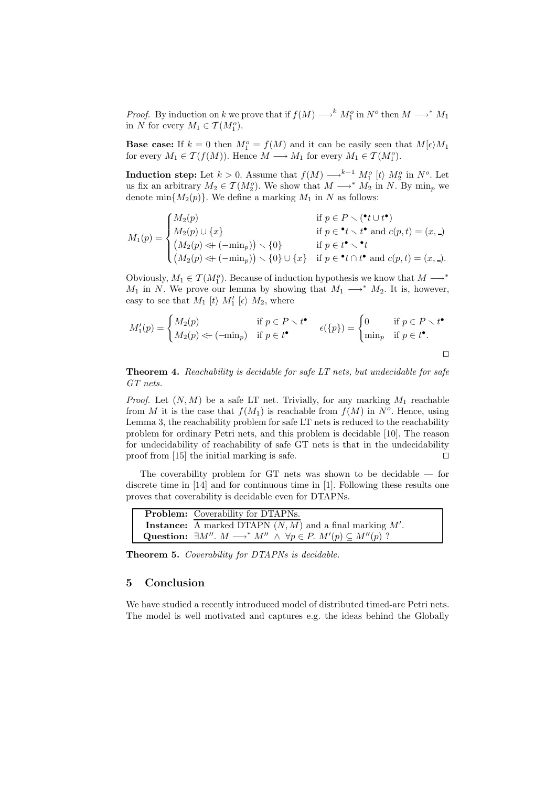*Proof.* By induction on k we prove that if  $f(M) \longrightarrow^k M_1^o$  in  $N^o$  then  $M \longrightarrow^* M_1$ in N for every  $M_1 \in \mathcal{T}(M_1^o)$ .

**Base case:** If  $k = 0$  then  $M_1^o = f(M)$  and it can be easily seen that  $M[\epsilon)M_1$ for every  $M_1 \in \mathcal{T}(f(M))$ . Hence  $M \longrightarrow M_1$  for every  $M_1 \in \mathcal{T}(M_1^o)$ .

**Induction step:** Let  $k > 0$ . Assume that  $f(M) \longrightarrow^{k-1} M_1^o$  [t}  $M_2^o$  in  $N^o$ . Let us fix an arbitrary  $M_2 \in \mathcal{T}(M_2^o)$ . We show that  $M \longrightarrow^* M_2$  in N. By min<sub>p</sub> we denote min ${M_2(p)}$ . We define a marking  $M_1$  in N as follows:

$$
M_1(p) = \begin{cases} M_2(p) & \text{if } p \in P \setminus (\mathbf{t} \cup t^{\bullet}) \\ M_2(p) \cup \{x\} & \text{if } p \in \mathbf{t} \setminus t^{\bullet} \text{ and } c(p, t) = (x, \_) \\ (M_2(p) \ll (-\min_p)) \setminus \{0\} & \text{if } p \in t^{\bullet} \setminus \mathbf{t} \\ (M_2(p) \ll (-\min_p)) \setminus \{0\} \cup \{x\} & \text{if } p \in \mathbf{t} \setminus \mathbf{t}^{\bullet} \text{ and } c(p, t) = (x, \_). \end{cases}
$$

Obviously,  $M_1 \in \mathcal{T}(M_1^o)$ . Because of induction hypothesis we know that  $M \longrightarrow^*$  $M_1$  in N. We prove our lemma by showing that  $M_1 \longrightarrow^* M_2$ . It is, however, easy to see that M<sup>1</sup> [ti M<sup>0</sup> <sup>1</sup> [i M2, where

$$
M'_1(p) = \begin{cases} M_2(p) & \text{if } p \in P \setminus t^{\bullet} \\ M_2(p) \ll \text{-(min}_p) & \text{if } p \in t^{\bullet} \end{cases} \quad \epsilon(\{p\}) = \begin{cases} 0 & \text{if } p \in P \setminus t^{\bullet} \\ \min_p & \text{if } p \in t^{\bullet}. \end{cases}
$$

**Theorem 4.** *Reachability is decidable for safe LT nets, but undecidable for safe GT nets.*

*Proof.* Let  $(N, M)$  be a safe LT net. Trivially, for any marking  $M_1$  reachable from M it is the case that  $f(M_1)$  is reachable from  $f(M)$  in  $N<sup>o</sup>$ . Hence, using Lemma 3, the reachability problem for safe LT nets is reduced to the reachability problem for ordinary Petri nets, and this problem is decidable [10]. The reason for undecidability of reachability of safe GT nets is that in the undecidability proof from [15] the initial marking is safe.  $\square$ 

The coverability problem for GT nets was shown to be decidable — for discrete time in [14] and for continuous time in [1]. Following these results one proves that coverability is decidable even for DTAPNs.

| <b>Problem:</b> Coverability for DTAPNs.                                                               |
|--------------------------------------------------------------------------------------------------------|
| <b>Instance:</b> A marked DTAPN $(N, M)$ and a final marking $M'$ .                                    |
| Question: $\exists M''$ . $M \longrightarrow^* M'' \land \forall p \in P$ . $M'(p) \subseteq M''(p)$ ? |

**Theorem 5.** *Coverability for DTAPNs is decidable.*

## **5 Conclusion**

We have studied a recently introduced model of distributed timed-arc Petri nets. The model is well motivated and captures e.g. the ideas behind the Globally